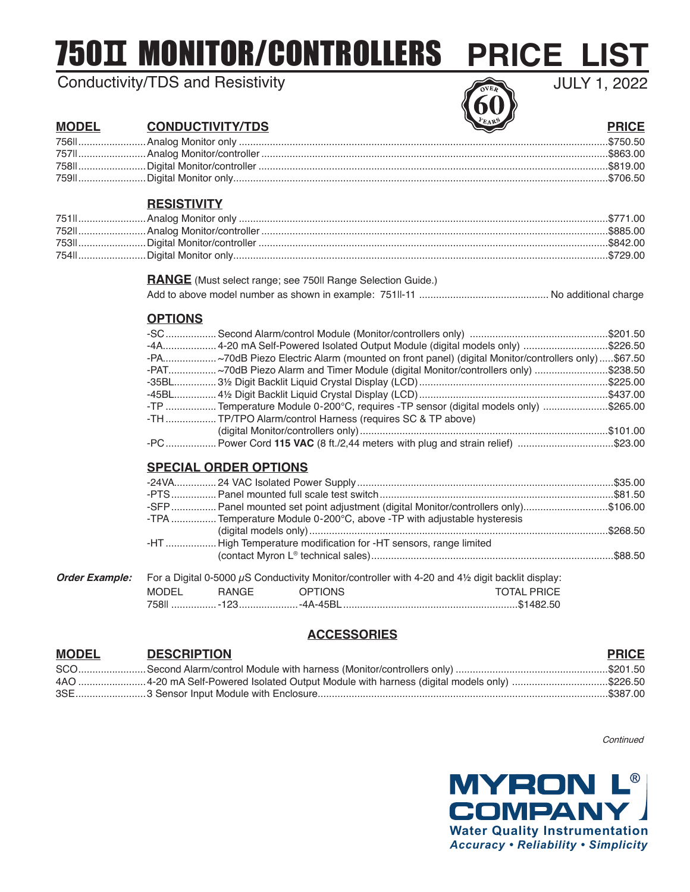750 MONITOR/CONTROLLERS

# Conductivity/TDS and Resistivity

**PRICE LIST**

JULY 1, 2022

## **MODEL CONDUCTIVITY/TDS PRICE**

### **RESISTIVITY**

#### **RANGE** (Must select range; see 750II Range Selection Guide.) Add to above model number as shown in example: 751II-11 .............................................. No additional charge

#### **OPTIONS**

| -4A 4-20 mA Self-Powered Isolated Output Module (digital models only) \$226.50                     |  |
|----------------------------------------------------------------------------------------------------|--|
| -PA ~70dB Piezo Electric Alarm (mounted on front panel) (digital Monitor/controllers only) \$67.50 |  |
| -PAT ~70dB Piezo Alarm and Timer Module (digital Monitor/controllers only) \$238.50                |  |
|                                                                                                    |  |
|                                                                                                    |  |
| -TP  Temperature Module 0-200°C, requires -TP sensor (digital models only) \$265.00                |  |
| -TH  TP/TPO Alarm/control Harness (requires SC & TP above)                                         |  |
|                                                                                                    |  |
| -PC Power Cord 115 VAC (8 ft./2,44 meters with plug and strain relief) \$23.00                     |  |

### **SPECIAL ORDER OPTIONS**

| -SFP  Panel mounted set point adjustment (digital Monitor/controllers only)\$106.00            |  |
|------------------------------------------------------------------------------------------------|--|
| -TPA  Temperature Module 0-200°C, above -TP with adjustable hysteresis                         |  |
|                                                                                                |  |
| -HT  High Temperature modification for -HT sensors, range limited                              |  |
|                                                                                                |  |
| For a Digital 0-5000 uS Conductivity Monitor/controller with 4-20 and 4% digit backlit display |  |

| <b>Order Example:</b> For a Digital 0-5000 $\mu$ S Conductivity Monitor/controller with 4-20 and 4½ digit backlit display: |               |  |                                                                      |
|----------------------------------------------------------------------------------------------------------------------------|---------------|--|----------------------------------------------------------------------|
| MODEL                                                                                                                      | RANGE OPTIONS |  | TOTAL PRICE                                                          |
|                                                                                                                            |               |  | .758ll ……………… -123………………… -4A-45BL …………………………………………………………… \$1482.50 |

# **ACCESSORIES**

#### **MODEL DESCRIPTION PRICE** SCO........................Second Alarm/control Module with harness (Monitor/controllers only) ......................................................\$201.50 4AO ........................4-20 mA Self-Powered Isolated Output Module with harness (digital models only) ..................................\$226.50 3SE.........................3 Sensor Input Module with Enclosure.......................................................................................................\$387.00

**Continued**